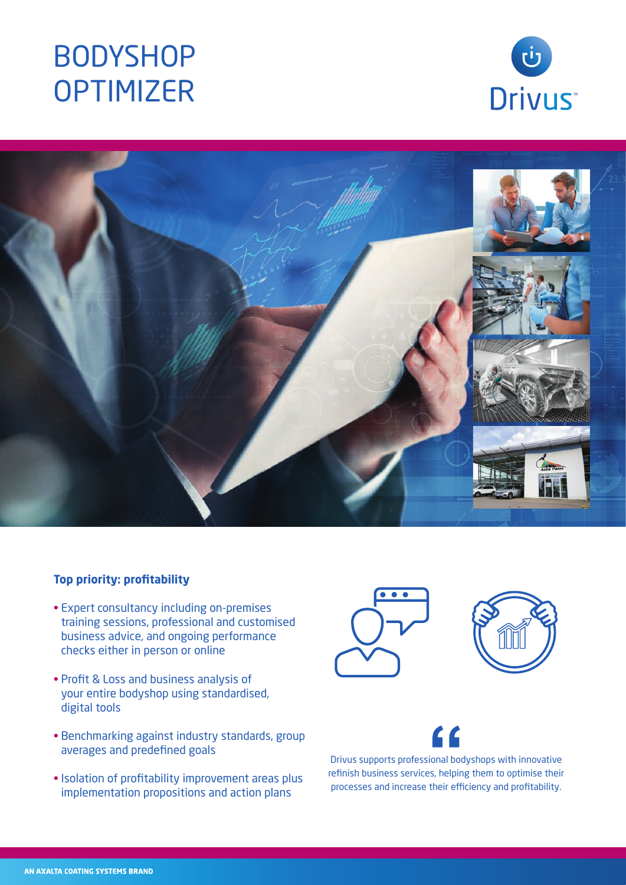# BODYSHOP **OPTIMIZER**





### **Top priority: profitability**

- Expert consultancy including on-premises training sessions, professional and customised business advice, and ongoing performance checks either in person or online
- Profit & Loss and business analysis of your entire bodyshop using standardised, digital tools
- Benchmarking against industry standards, group averages and predefined goals
- Isolation of profitability improvement areas plus implementation propositions and action plans





Drivus supports professional bodyshops with innovative refinish business services, helping them to optimise their processes and increase their efficiency and profitability.